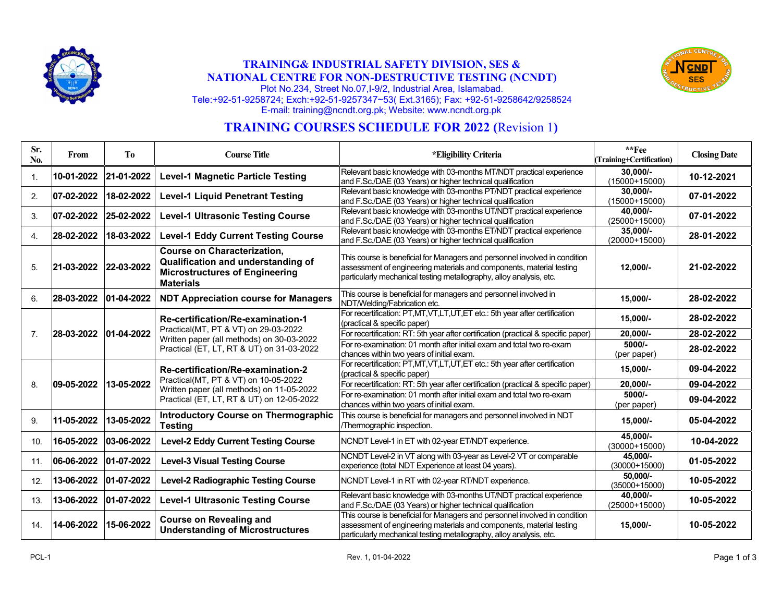

## **TRAINING& INDUSTRIAL SAFETY DIVISION, SES & NATIONAL CENTRE FOR NON-DESTRUCTIVE TESTING (NCNDT)**



Plot No.234, Street No.07,I-9/2, Industrial Area, Islamabad. Tele:+92-51-9258724; Exch:+92-51-9257347~53( Ext.3165); Fax: +92-51-9258642/9258524 E-mail: training@ncndt.org.pk; Website: www.ncndt.org.pk

# **TRAINING COURSES SCHEDULE FOR 2022 (**Revision 1**)**

| Sr.<br>No.       | From       | T <sub>o</sub> | <b>Course Title</b>                                                                                                                                                 | <i>*Eligibility Criteria</i>                                                                                                                                                                                              | $**Fee$<br>(Training+Certification) | <b>Closing Date</b> |
|------------------|------------|----------------|---------------------------------------------------------------------------------------------------------------------------------------------------------------------|---------------------------------------------------------------------------------------------------------------------------------------------------------------------------------------------------------------------------|-------------------------------------|---------------------|
| $\mathbf{1}$ .   | 10-01-2022 | 21-01-2022     | <b>Level-1 Magnetic Particle Testing</b>                                                                                                                            | Relevant basic knowledge with 03-months MT/NDT practical experience<br>and F.Sc./DAE (03 Years) or higher technical qualification                                                                                         | $30.000/-$<br>$(15000+15000)$       | 10-12-2021          |
| 2.               | 07-02-2022 | 18-02-2022     | <b>Level-1 Liquid Penetrant Testing</b>                                                                                                                             | Relevant basic knowledge with 03-months PT/NDT practical experience<br>and F.Sc./DAE (03 Years) or higher technical qualification                                                                                         | $30,000/-$<br>$(15000+15000)$       | 07-01-2022          |
| 3.               | 07-02-2022 | 25-02-2022     | <b>Level-1 Ultrasonic Testing Course</b>                                                                                                                            | Relevant basic knowledge with 03-months UT/NDT practical experience<br>and F.Sc./DAE (03 Years) or higher technical qualification                                                                                         | 40.000/-<br>$(25000+15000)$         | 07-01-2022          |
| $\overline{4}$ . | 28-02-2022 | 18-03-2022     | <b>Level-1 Eddy Current Testing Course</b>                                                                                                                          | Relevant basic knowledge with 03-months ET/NDT practical experience<br>and F.Sc./DAE (03 Years) or higher technical qualification                                                                                         | $35,000/-$<br>$(20000+15000)$       | 28-01-2022          |
| 5.               | 21-03-2022 | 22-03-2022     | <b>Course on Characterization,</b><br>Qualification and understanding of<br><b>Microstructures of Engineering</b><br><b>Materials</b>                               | This course is beneficial for Managers and personnel involved in condition<br>assessment of engineering materials and components, material testing<br>particularly mechanical testing metallography, alloy analysis, etc. | 12,000/-                            | 21-02-2022          |
| 6.               | 28-03-2022 | 01-04-2022     | <b>NDT Appreciation course for Managers</b>                                                                                                                         | This course is beneficial for managers and personnel involved in<br>NDT/Welding/Fabrication etc.                                                                                                                          | 15,000/-                            | 28-02-2022          |
|                  |            |                | Re-certification/Re-examination-1                                                                                                                                   | For recertification: PT,MT,VT,LT,UT,ET etc.: 5th year after certification<br>(practical & specific paper)                                                                                                                 | 15,000/-                            | 28-02-2022          |
| $\overline{7}$ . | 28-03-2022 | 01-04-2022     | Practical(MT, PT & VT) on 29-03-2022<br>Written paper (all methods) on 30-03-2022<br>Practical (ET, LT, RT & UT) on 31-03-2022                                      | For recertification: RT: 5th year after certification (practical & specific paper)                                                                                                                                        | 20.000/-                            | 28-02-2022          |
|                  |            |                |                                                                                                                                                                     | For re-examination: 01 month after initial exam and total two re-exam<br>chances within two years of initial exam.                                                                                                        | 5000/-<br>(per paper)               | 28-02-2022          |
|                  | 09-05-2022 | 13-05-2022     | Re-certification/Re-examination-2<br>Practical(MT, PT & VT) on 10-05-2022<br>Written paper (all methods) on 11-05-2022<br>Practical (ET, LT, RT & UT) on 12-05-2022 | For recertification: PT,MT,VT,LT,UT,ET etc.: 5th year after certification<br>(practical & specific paper)                                                                                                                 | $15,000/-$                          | 09-04-2022          |
| 8.               |            |                |                                                                                                                                                                     | For recertification: RT: 5th year after certification (practical & specific paper)                                                                                                                                        | 20,000/-                            | 09-04-2022          |
|                  |            |                |                                                                                                                                                                     | For re-examination: 01 month after initial exam and total two re-exam<br>chances within two years of initial exam.                                                                                                        | $5000/-$<br>(per paper)             | 09-04-2022          |
| 9.               | 11-05-2022 | 13-05-2022     | <b>Introductory Course on Thermographic</b><br><b>Testing</b>                                                                                                       | This course is beneficial for managers and personnel involved in NDT<br>/Thermographic inspection.                                                                                                                        | $15,000/-$                          | 05-04-2022          |
| 10.              | 16-05-2022 | 03-06-2022     | <b>Level-2 Eddy Current Testing Course</b>                                                                                                                          | NCNDT Level-1 in ET with 02-year ET/NDT experience.                                                                                                                                                                       | 45.000/-<br>$(30000+15000)$         | 10-04-2022          |
| 11.              | 06-06-2022 | 01-07-2022     | <b>Level-3 Visual Testing Course</b>                                                                                                                                | NCNDT Level-2 in VT along with 03-year as Level-2 VT or comparable<br>experience (total NDT Experience at least 04 years).                                                                                                | 45.000/-<br>$(30000+15000)$         | 01-05-2022          |
| 12.              | 13-06-2022 | 01-07-2022     | <b>Level-2 Radiographic Testing Course</b>                                                                                                                          | NCNDT Level-1 in RT with 02-year RT/NDT experience.                                                                                                                                                                       | 50.000/-<br>$(35000+15000)$         | 10-05-2022          |
| 13.              | 13-06-2022 | $ 01-07-2022 $ | <b>Level-1 Ultrasonic Testing Course</b>                                                                                                                            | Relevant basic knowledge with 03-months UT/NDT practical experience<br>and F.Sc./DAE (03 Years) or higher technical qualification                                                                                         | 40,000/-<br>$(25000+15000)$         | 10-05-2022          |
| 14.              | 14-06-2022 | 15-06-2022     | <b>Course on Revealing and</b><br><b>Understanding of Microstructures</b>                                                                                           | This course is beneficial for Managers and personnel involved in condition<br>assessment of engineering materials and components, material testing<br>particularly mechanical testing metallography, alloy analysis, etc. | $15,000/-$                          | 10-05-2022          |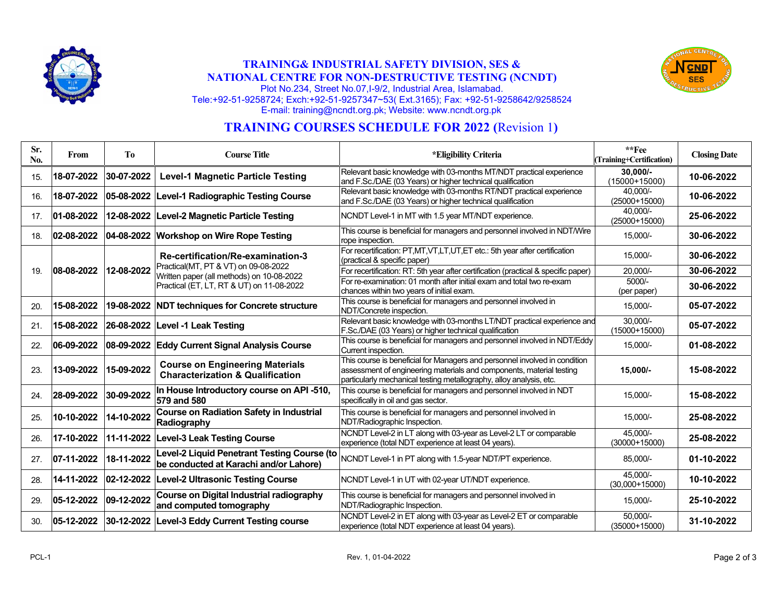

## **TRAINING& INDUSTRIAL SAFETY DIVISION, SES & NATIONAL CENTRE FOR NON-DESTRUCTIVE TESTING (NCNDT)**



Plot No.234, Street No.07,I-9/2, Industrial Area, Islamabad. Tele:+92-51-9258724; Exch:+92-51-9257347~53( Ext.3165); Fax: +92-51-9258642/9258524 E-mail: training@ncndt.org.pk; Website: www.ncndt.org.pk

# **TRAINING COURSES SCHEDULE FOR 2022 (**Revision 1**)**

| Sr.<br>No. | From       | T <sub>o</sub> | <b>Course Title</b>                                                                                                                                                 | *Eligibility Criteria                                                                                                                                                                                                     | $**$ Fee<br>(Training+Certification) | <b>Closing Date</b> |
|------------|------------|----------------|---------------------------------------------------------------------------------------------------------------------------------------------------------------------|---------------------------------------------------------------------------------------------------------------------------------------------------------------------------------------------------------------------------|--------------------------------------|---------------------|
| 15.        | 18-07-2022 | 30-07-2022     | <b>Level-1 Magnetic Particle Testing</b>                                                                                                                            | Relevant basic knowledge with 03-months MT/NDT practical experience<br>and F.Sc./DAE (03 Years) or higher technical qualification                                                                                         | $30,000/-$<br>$(15000+15000)$        | 10-06-2022          |
| 16.        | 18-07-2022 |                | 05-08-2022 Level-1 Radiographic Testing Course                                                                                                                      | Relevant basic knowledge with 03-months RT/NDT practical experience<br>and F.Sc./DAE (03 Years) or higher technical qualification                                                                                         | 40.000/-<br>(25000+15000)            | 10-06-2022          |
| 17.        | 01-08-2022 |                | 12-08-2022 Level-2 Magnetic Particle Testing                                                                                                                        | NCNDT Level-1 in MT with 1.5 year MT/NDT experience.                                                                                                                                                                      | 40,000/-<br>$(25000+15000)$          | 25-06-2022          |
| 18.        | 02-08-2022 |                | 04-08-2022 Workshop on Wire Rope Testing                                                                                                                            | This course is beneficial for managers and personnel involved in NDT/Wire<br>rope inspection.                                                                                                                             | 15,000/-                             | 30-06-2022          |
|            | 08-08-2022 | 12-08-2022     | Re-certification/Re-examination-3<br>Practical(MT, PT & VT) on 09-08-2022<br>Written paper (all methods) on 10-08-2022<br>Practical (ET, LT, RT & UT) on 11-08-2022 | For recertification: PT,MT,VT,LT,UT,ET etc.: 5th year after certification<br>(practical & specific paper)                                                                                                                 | 15,000/-                             | 30-06-2022          |
| 19.        |            |                |                                                                                                                                                                     | For recertification: RT: 5th year after certification (practical & specific paper)                                                                                                                                        | 20,000/-                             | 30-06-2022          |
|            |            |                |                                                                                                                                                                     | For re-examination: 01 month after initial exam and total two re-exam<br>chances within two years of initial exam.                                                                                                        | 5000/-<br>(per paper)                | 30-06-2022          |
| 20.        | 15-08-2022 |                | 19-08-2022 NDT techniques for Concrete structure                                                                                                                    | This course is beneficial for managers and personnel involved in<br>NDT/Concrete inspection.                                                                                                                              | 15,000/-                             | 05-07-2022          |
| 21.        | 15-08-2022 |                | 26-08-2022 Level -1 Leak Testing                                                                                                                                    | Relevant basic knowledge with 03-months LT/NDT practical experience and<br>F.Sc./DAE (03 Years) or higher technical qualification                                                                                         | $30.000/-$<br>$(15000+15000)$        | 05-07-2022          |
| 22.        | 06-09-2022 |                | 08-09-2022 Eddy Current Signal Analysis Course                                                                                                                      | This course is beneficial for managers and personnel involved in NDT/Eddy<br>Current inspection.                                                                                                                          | 15,000/-                             | 01-08-2022          |
| 23.        | 13-09-2022 | 15-09-2022     | <b>Course on Engineering Materials</b><br><b>Characterization &amp; Qualification</b>                                                                               | This course is beneficial for Managers and personnel involved in condition<br>assessment of engineering materials and components, material testing<br>particularly mechanical testing metallography, alloy analysis, etc. | 15,000/-                             | 15-08-2022          |
| 24.        | 28-09-2022 | 30-09-2022     | In House Introductory course on API -510,<br>579 and 580                                                                                                            | This course is beneficial for managers and personnel involved in NDT<br>specifically in oil and gas sector.                                                                                                               | 15,000/-                             | 15-08-2022          |
| 25.        | 10-10-2022 | 14-10-2022     | Course on Radiation Safety in Industrial<br>Radiography                                                                                                             | This course is beneficial for managers and personnel involved in<br>NDT/Radiographic Inspection.                                                                                                                          | 15.000/-                             | 25-08-2022          |
| 26.        | 17-10-2022 |                | 11-11-2022 Level-3 Leak Testing Course                                                                                                                              | NCNDT Level-2 in LT along with 03-year as Level-2 LT or comparable<br>experience (total NDT experience at least 04 years).                                                                                                | 45.000/-<br>$(30000+15000)$          | 25-08-2022          |
| 27.        | 07-11-2022 | 18-11-2022     | Level-2 Liquid Penetrant Testing Course (to<br>be conducted at Karachi and/or Lahore)                                                                               | NCNDT Level-1 in PT along with 1.5-year NDT/PT experience.                                                                                                                                                                | 85,000/-                             | 01-10-2022          |
| 28.        | 14-11-2022 |                | 02-12-2022 Level-2 Ultrasonic Testing Course                                                                                                                        | NCNDT Level-1 in UT with 02-year UT/NDT experience.                                                                                                                                                                       | 45.000/-<br>$(30,000+15000)$         | 10-10-2022          |
| 29.        | 05-12-2022 | 09-12-2022     | Course on Digital Industrial radiography<br>and computed tomography                                                                                                 | This course is beneficial for managers and personnel involved in<br>NDT/Radiographic Inspection.                                                                                                                          | 15,000/-                             | 25-10-2022          |
| 30.        | 05-12-2022 |                | 30-12-2022 Level-3 Eddy Current Testing course                                                                                                                      | NCNDT Level-2 in ET along with 03-year as Level-2 ET or comparable<br>experience (total NDT experience at least 04 years).                                                                                                | 50.000/-<br>$(35000+15000)$          | 31-10-2022          |